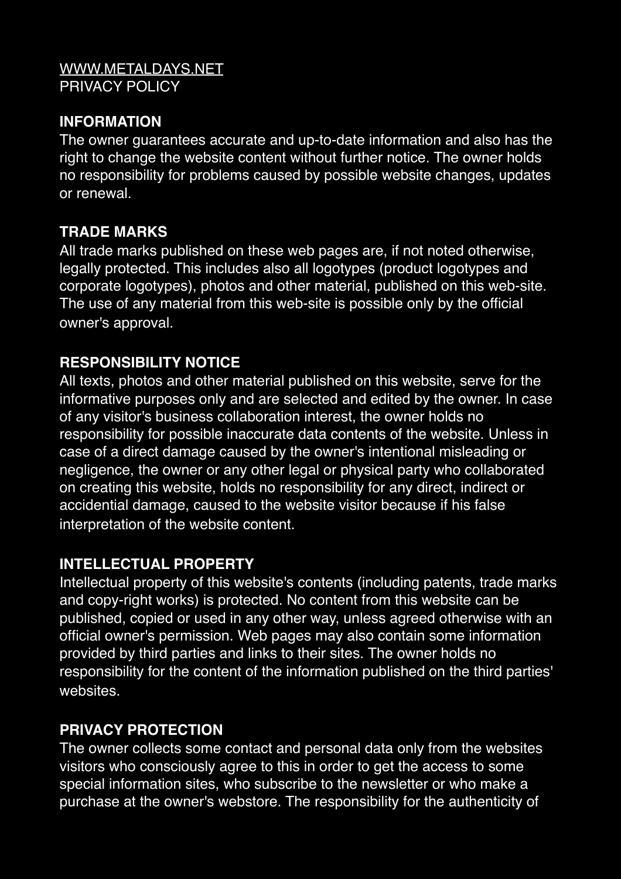#### [WWW.METALDAYS.NET](http://WWW.METALDAYS.NET) PRIVACY POLICY

## **INFORMATION**

The owner guarantees accurate and up-to-date information and also has the right to change the website content without further notice. The owner holds no responsibility for problems caused by possible website changes, updates or renewal.

### **TRADE MARKS**

All trade marks published on these web pages are, if not noted otherwise, legally protected. This includes also all logotypes (product logotypes and corporate logotypes), photos and other material, published on this web-site. The use of any material from this web-site is possible only by the official owner's approval.

### **RESPONSIBILITY NOTICE**

All texts, photos and other material published on this website, serve for the informative purposes only and are selected and edited by the owner. In case of any visitor's business collaboration interest, the owner holds no responsibility for possible inaccurate data contents of the website. Unless in case of a direct damage caused by the owner's intentional misleading or negligence, the owner or any other legal or physical party who collaborated on creating this website, holds no responsibility for any direct, indirect or accidential damage, caused to the website visitor because if his false interpretation of the website content.

#### **INTELLECTUAL PROPERTY**

Intellectual property of this website's contents (including patents, trade marks and copy-right works) is protected. No content from this website can be published, copied or used in any other way, unless agreed otherwise with an official owner's permission. Web pages may also contain some information provided by third parties and links to their sites. The owner holds no responsibility for the content of the information published on the third parties' websites.

# **PRIVACY PROTECTION**

The owner collects some contact and personal data only from the websites visitors who consciously agree to this in order to get the access to some special information sites, who subscribe to the newsletter or who make a purchase at the owner's webstore. The responsibility for the authenticity of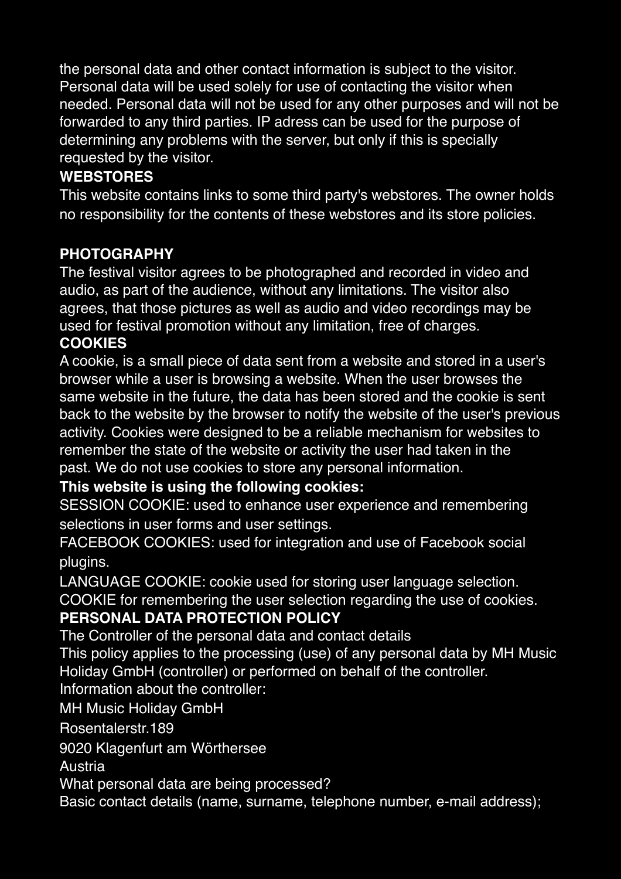the personal data and other contact information is subject to the visitor. Personal data will be used solely for use of contacting the visitor when needed. Personal data will not be used for any other purposes and will not be forwarded to any third parties. IP adress can be used for the purpose of determining any problems with the server, but only if this is specially requested by the visitor.

## **WEBSTORES**

This website contains links to some third party's webstores. The owner holds no responsibility for the contents of these webstores and its store policies.

### **PHOTOGRAPHY**

The festival visitor agrees to be photographed and recorded in video and audio, as part of the audience, without any limitations. The visitor also agrees, that those pictures as well as audio and video recordings may be used for festival promotion without any limitation, free of charges. **COOKIES**

A cookie, is a small piece of data sent from a website and stored in a user's browser while a user is browsing a website. When the user browses the same website in the future, the data has been stored and the cookie is sent back to the website by the browser to notify the website of the user's previous activity. Cookies were designed to be a reliable mechanism for websites to remember the state of the website or activity the user had taken in the past. We do not use cookies to store any personal information.

#### **This website is using the following cookies:**

SESSION COOKIE: used to enhance user experience and remembering selections in user forms and user settings.

FACEBOOK COOKIES: used for integration and use of Facebook social plugins.

LANGUAGE COOKIE: cookie used for storing user language selection. COOKIE for remembering the user selection regarding the use of cookies.

#### **PERSONAL DATA PROTECTION POLICY**

The Controller of the personal data and contact details

This policy applies to the processing (use) of any personal data by MH Music Holiday GmbH (controller) or performed on behalf of the controller.

Information about the controller:

MH Music Holiday GmbH

Rosentalerstr.189

9020 Klagenfurt am Wörthersee

Austria

What personal data are being processed?

Basic contact details (name, surname, telephone number, e-mail address);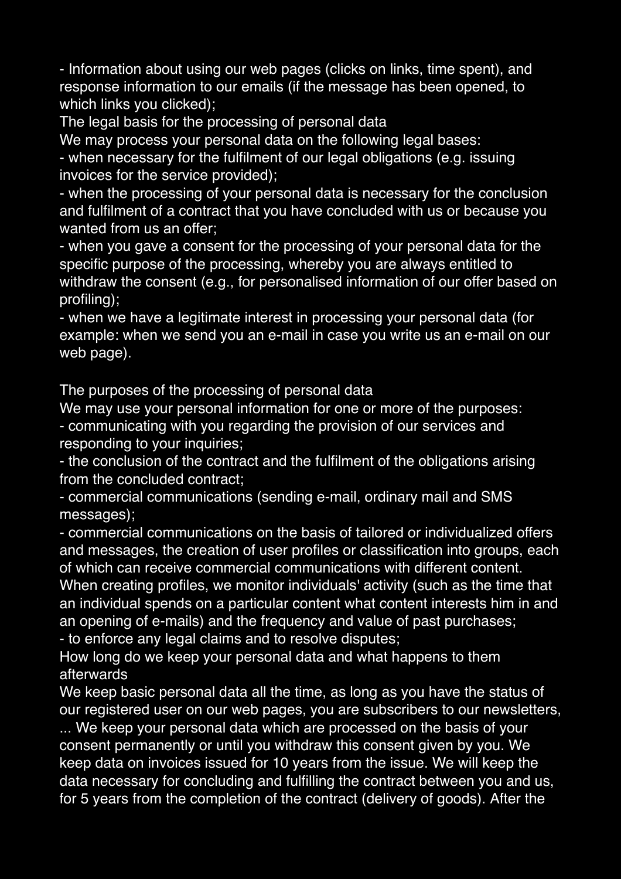- Information about using our web pages (clicks on links, time spent), and response information to our emails (if the message has been opened, to which links you clicked);

The legal basis for the processing of personal data

We may process your personal data on the following legal bases:

- when necessary for the fulfilment of our legal obligations (e.g. issuing invoices for the service provided);

- when the processing of your personal data is necessary for the conclusion and fulfilment of a contract that you have concluded with us or because you wanted from us an offer;

- when you gave a consent for the processing of your personal data for the specific purpose of the processing, whereby you are always entitled to withdraw the consent (e.g., for personalised information of our offer based on profiling);

- when we have a legitimate interest in processing your personal data (for example: when we send you an e-mail in case you write us an e-mail on our web page).

The purposes of the processing of personal data

We may use your personal information for one or more of the purposes:

- communicating with you regarding the provision of our services and responding to your inquiries;

- the conclusion of the contract and the fulfilment of the obligations arising from the concluded contract;

- commercial communications (sending e-mail, ordinary mail and SMS messages);

- commercial communications on the basis of tailored or individualized offers and messages, the creation of user profiles or classification into groups, each of which can receive commercial communications with different content.

When creating profiles, we monitor individuals' activity (such as the time that an individual spends on a particular content what content interests him in and an opening of e-mails) and the frequency and value of past purchases;

- to enforce any legal claims and to resolve disputes;

How long do we keep your personal data and what happens to them afterwards

We keep basic personal data all the time, as long as you have the status of our registered user on our web pages, you are subscribers to our newsletters,

... We keep your personal data which are processed on the basis of your consent permanently or until you withdraw this consent given by you. We keep data on invoices issued for 10 years from the issue. We will keep the data necessary for concluding and fulfilling the contract between you and us, for 5 years from the completion of the contract (delivery of goods). After the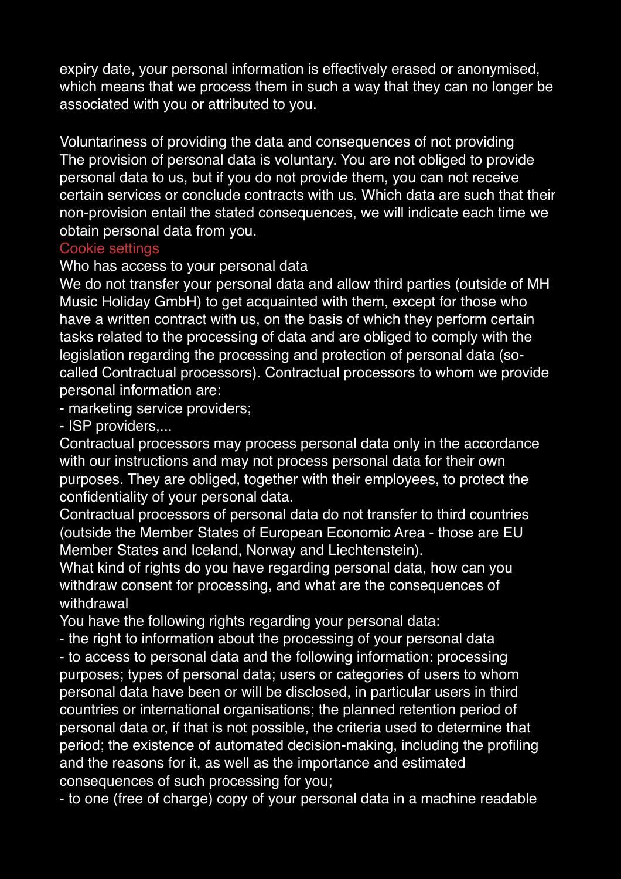expiry date, your personal information is effectively erased or anonymised, which means that we process them in such a way that they can no longer be associated with you or attributed to you.

Voluntariness of providing the data and consequences of not providing The provision of personal data is voluntary. You are not obliged to provide personal data to us, but if you do not provide them, you can not receive certain services or conclude contracts with us. Which data are such that their non-provision entail the stated consequences, we will indicate each time we obtain personal data from you.

#### Cookie settings

Who has access to your personal data

We do not transfer your personal data and allow third parties (outside of MH Music Holiday GmbH) to get acquainted with them, except for those who have a written contract with us, on the basis of which they perform certain tasks related to the processing of data and are obliged to comply with the legislation regarding the processing and protection of personal data (socalled Contractual processors). Contractual processors to whom we provide personal information are:

- marketing service providers;

- ISP providers,...

Contractual processors may process personal data only in the accordance with our instructions and may not process personal data for their own purposes. They are obliged, together with their employees, to protect the confidentiality of your personal data.

Contractual processors of personal data do not transfer to third countries (outside the Member States of European Economic Area - those are EU Member States and Iceland, Norway and Liechtenstein).

What kind of rights do you have regarding personal data, how can you withdraw consent for processing, and what are the consequences of withdrawal

You have the following rights regarding your personal data:

- the right to information about the processing of your personal data

- to access to personal data and the following information: processing purposes; types of personal data; users or categories of users to whom personal data have been or will be disclosed, in particular users in third countries or international organisations; the planned retention period of personal data or, if that is not possible, the criteria used to determine that period; the existence of automated decision-making, including the profiling and the reasons for it, as well as the importance and estimated consequences of such processing for you;

- to one (free of charge) copy of your personal data in a machine readable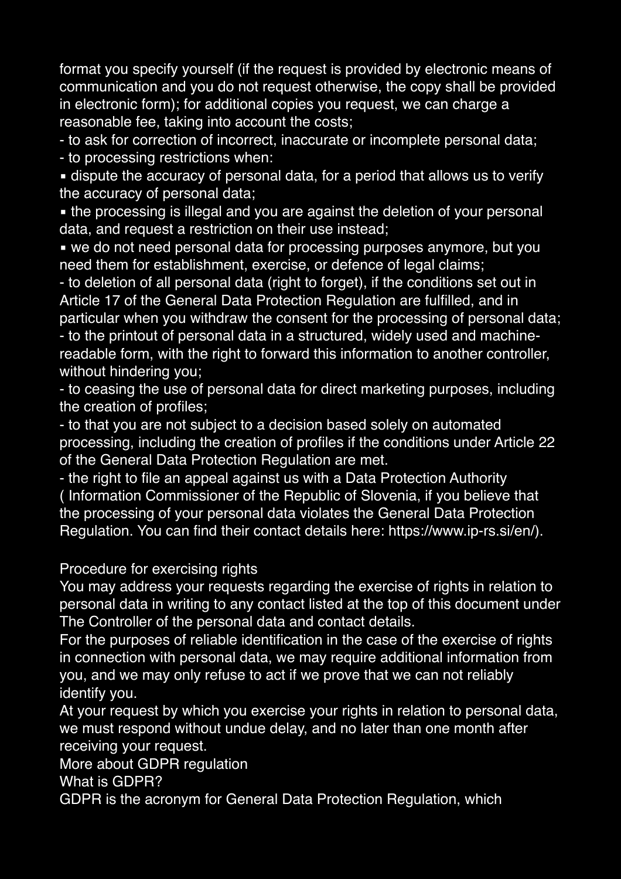format you specify yourself (if the request is provided by electronic means of communication and you do not request otherwise, the copy shall be provided in electronic form); for additional copies you request, we can charge a reasonable fee, taking into account the costs;

- to ask for correction of incorrect, inaccurate or incomplete personal data;

- to processing restrictions when:

**.** dispute the accuracy of personal data, for a period that allows us to verify the accuracy of personal data;

• the processing is illegal and you are against the deletion of your personal data, and request a restriction on their use instead;

■ we do not need personal data for processing purposes anymore, but you need them for establishment, exercise, or defence of legal claims;

- to deletion of all personal data (right to forget), if the conditions set out in Article 17 of the General Data Protection Regulation are fulfilled, and in particular when you withdraw the consent for the processing of personal data; - to the printout of personal data in a structured, widely used and machinereadable form, with the right to forward this information to another controller, without hindering you;

- to ceasing the use of personal data for direct marketing purposes, including the creation of profiles;

- to that you are not subject to a decision based solely on automated processing, including the creation of profiles if the conditions under Article 22 of the General Data Protection Regulation are met.

- the right to file an appeal against us with a Data Protection Authority ( Information Commissioner of the Republic of Slovenia, if you believe that the processing of your personal data violates the General Data Protection Regulation. You can find their contact details here: https://www.ip-rs.si/en/).

#### Procedure for exercising rights

You may address your requests regarding the exercise of rights in relation to personal data in writing to any contact listed at the top of this document under The Controller of the personal data and contact details.

For the purposes of reliable identification in the case of the exercise of rights in connection with personal data, we may require additional information from you, and we may only refuse to act if we prove that we can not reliably identify you.

At your request by which you exercise your rights in relation to personal data, we must respond without undue delay, and no later than one month after receiving your request.

More about GDPR regulation

What is GDPR?

GDPR is the acronym for General Data Protection Regulation, which